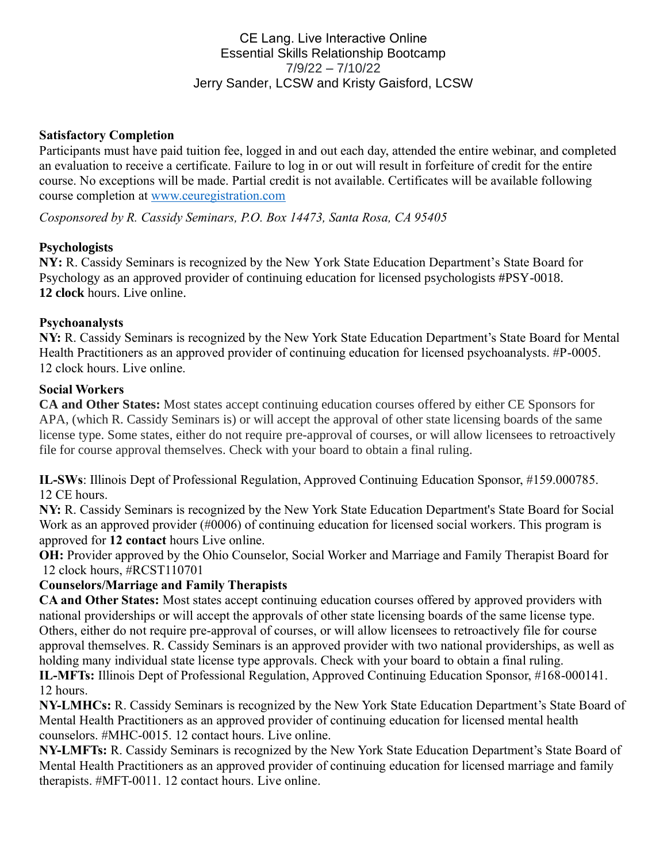# CE Lang. Live Interactive Online Essential Skills Relationship Bootcamp 7/9/22 – 7/10/22 Jerry Sander, LCSW and Kristy Gaisford, LCSW

### **Satisfactory Completion**

Participants must have paid tuition fee, logged in and out each day, attended the entire webinar, and completed an evaluation to receive a certificate. Failure to log in or out will result in forfeiture of credit for the entire course. No exceptions will be made. Partial credit is not available. Certificates will be available following course completion at [www.ceuregistration.com](http://www.ceuregistration.com/)

*Cosponsored by R. Cassidy Seminars, P.O. Box 14473, Santa Rosa, CA 95405*

### **Psychologists**

**NY:** R. Cassidy Seminars is recognized by the New York State Education Department's State Board for Psychology as an approved provider of continuing education for licensed psychologists #PSY-0018. **12 clock** hours. Live online.

### **Psychoanalysts**

**NY:** R. Cassidy Seminars is recognized by the New York State Education Department's State Board for Mental Health Practitioners as an approved provider of continuing education for licensed psychoanalysts. #P-0005. 12 clock hours. Live online.

### **Social Workers**

**CA and Other States:** Most states accept continuing education courses offered by either CE Sponsors for APA, (which R. Cassidy Seminars is) or will accept the approval of other state licensing boards of the same license type. Some states, either do not require pre-approval of courses, or will allow licensees to retroactively file for course approval themselves. Check with your board to obtain a final ruling.

**IL-SWs**: Illinois Dept of Professional Regulation, Approved Continuing Education Sponsor, #159.000785. 12 CE hours.

**NY:** R. Cassidy Seminars is recognized by the New York State Education Department's State Board for Social Work as an approved provider (#0006) of continuing education for licensed social workers. This program is approved for **12 contact** hours Live online.

**OH:** Provider approved by the Ohio Counselor, Social Worker and Marriage and Family Therapist Board for 12 clock hours, #RCST110701

## **Counselors/Marriage and Family Therapists**

**CA and Other States:** Most states accept continuing education courses offered by approved providers with national providerships or will accept the approvals of other state licensing boards of the same license type. Others, either do not require pre-approval of courses, or will allow licensees to retroactively file for course approval themselves. R. Cassidy Seminars is an approved provider with two national providerships, as well as holding many individual state license type approvals. Check with your board to obtain a final ruling.

**IL-MFTs:** Illinois Dept of Professional Regulation, Approved Continuing Education Sponsor, #168-000141. 12 hours.

**NY-LMHCs:** R. Cassidy Seminars is recognized by the New York State Education Department's State Board of Mental Health Practitioners as an approved provider of continuing education for licensed mental health counselors. #MHC-0015. 12 contact hours. Live online.

**NY-LMFTs:** R. Cassidy Seminars is recognized by the New York State Education Department's State Board of Mental Health Practitioners as an approved provider of continuing education for licensed marriage and family therapists. #MFT-0011. 12 contact hours. Live online.